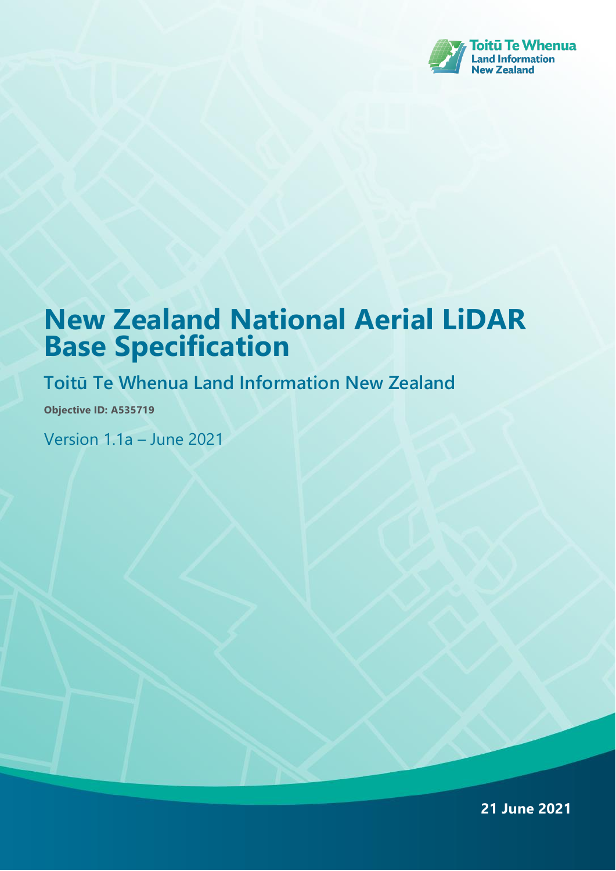

# **New Zealand National Aerial LiDAR Base Specification**

## **Toitū Te Whenua Land Information New Zealand**

**Objective ID: A535719**

Version 1.1a – June 2021

**21 June 2021**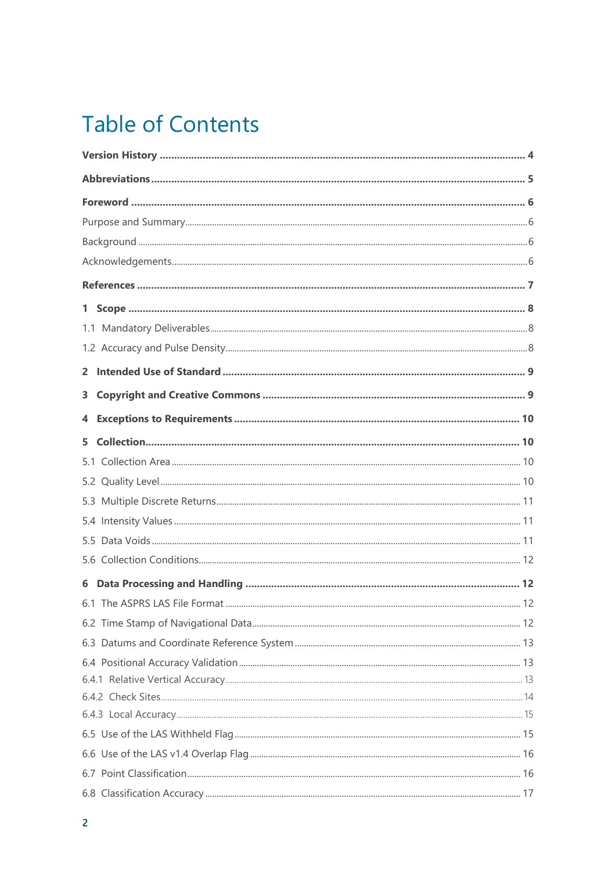# **Table of Contents**

| 5.  |  |  |
|-----|--|--|
| 5.1 |  |  |
|     |  |  |
|     |  |  |
|     |  |  |
|     |  |  |
|     |  |  |
|     |  |  |
|     |  |  |
|     |  |  |
|     |  |  |
|     |  |  |
|     |  |  |
|     |  |  |
|     |  |  |
|     |  |  |
|     |  |  |
|     |  |  |
|     |  |  |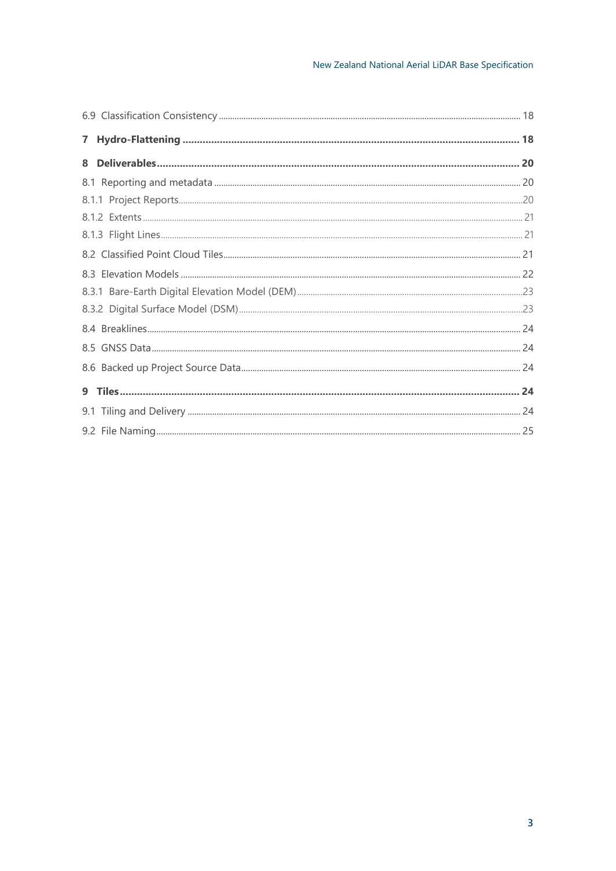| $\mathbf{7}$ |  |
|--------------|--|
| 8            |  |
|              |  |
|              |  |
|              |  |
|              |  |
|              |  |
|              |  |
|              |  |
|              |  |
|              |  |
|              |  |
|              |  |
|              |  |
|              |  |
|              |  |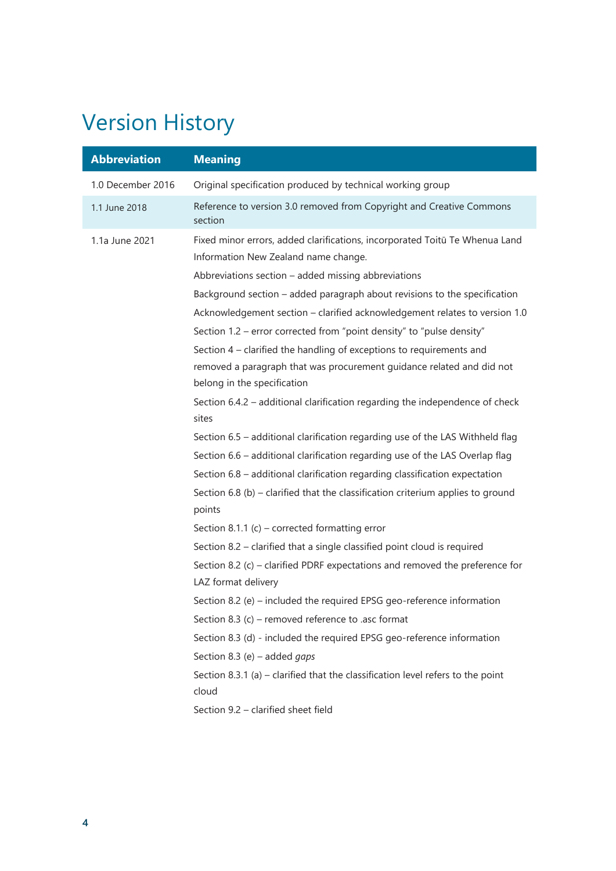# <span id="page-3-0"></span>Version History

| <b>Abbreviation</b> | <b>Meaning</b>                                                                                                      |
|---------------------|---------------------------------------------------------------------------------------------------------------------|
| 1.0 December 2016   | Original specification produced by technical working group                                                          |
| 1.1 June 2018       | Reference to version 3.0 removed from Copyright and Creative Commons<br>section                                     |
| 1.1a June 2021      | Fixed minor errors, added clarifications, incorporated Toitū Te Whenua Land<br>Information New Zealand name change. |
|                     | Abbreviations section - added missing abbreviations                                                                 |
|                     | Background section - added paragraph about revisions to the specification                                           |
|                     | Acknowledgement section - clarified acknowledgement relates to version 1.0                                          |
|                     | Section 1.2 – error corrected from "point density" to "pulse density"                                               |
|                     | Section 4 – clarified the handling of exceptions to requirements and                                                |
|                     | removed a paragraph that was procurement guidance related and did not                                               |
|                     | belong in the specification                                                                                         |
|                     | Section 6.4.2 - additional clarification regarding the independence of check                                        |
|                     | sites                                                                                                               |
|                     | Section 6.5 - additional clarification regarding use of the LAS Withheld flag                                       |
|                     | Section 6.6 - additional clarification regarding use of the LAS Overlap flag                                        |
|                     | Section 6.8 - additional clarification regarding classification expectation                                         |
|                     | Section 6.8 (b) - clarified that the classification criterium applies to ground<br>points                           |
|                     | Section 8.1.1 (c) – corrected formatting error                                                                      |
|                     | Section 8.2 – clarified that a single classified point cloud is required                                            |
|                     | Section 8.2 (c) – clarified PDRF expectations and removed the preference for                                        |
|                     | LAZ format delivery                                                                                                 |
|                     | Section 8.2 (e) - included the required EPSG geo-reference information                                              |
|                     | Section 8.3 (c) – removed reference to .asc format                                                                  |
|                     | Section 8.3 (d) - included the required EPSG geo-reference information                                              |
|                     | Section 8.3 (e) – added gaps                                                                                        |
|                     | Section 8.3.1 (a) – clarified that the classification level refers to the point<br>cloud                            |
|                     | Section 9.2 - clarified sheet field                                                                                 |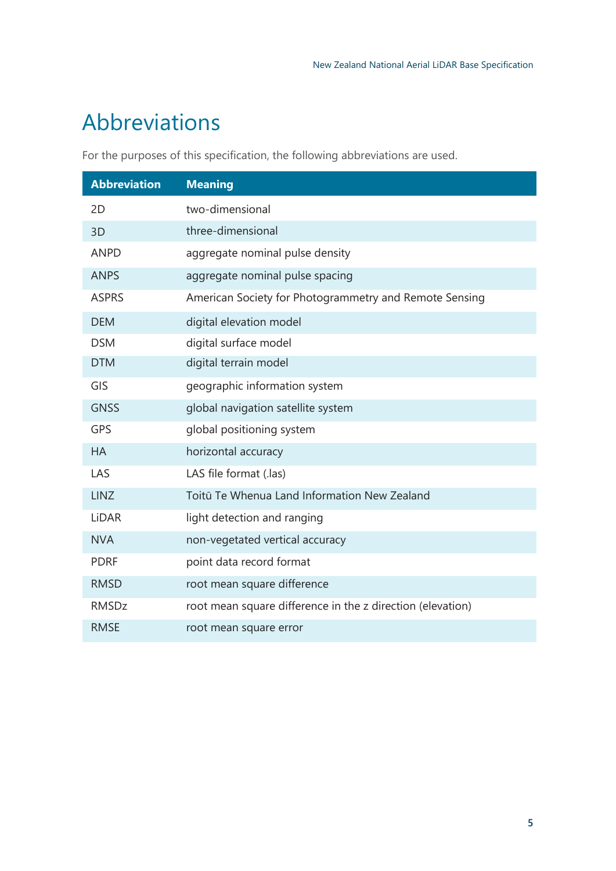# <span id="page-4-0"></span>Abbreviations

For the purposes of this specification, the following abbreviations are used.

| <b>Abbreviation</b> | <b>Meaning</b>                                             |
|---------------------|------------------------------------------------------------|
| 2D                  | two-dimensional                                            |
| 3D                  | three-dimensional                                          |
| <b>ANPD</b>         | aggregate nominal pulse density                            |
| <b>ANPS</b>         | aggregate nominal pulse spacing                            |
| <b>ASPRS</b>        | American Society for Photogrammetry and Remote Sensing     |
| <b>DEM</b>          | digital elevation model                                    |
| <b>DSM</b>          | digital surface model                                      |
| <b>DTM</b>          | digital terrain model                                      |
| GIS                 | geographic information system                              |
| <b>GNSS</b>         | global navigation satellite system                         |
| <b>GPS</b>          | global positioning system                                  |
| <b>HA</b>           | horizontal accuracy                                        |
| LAS                 | LAS file format (.las)                                     |
| <b>LINZ</b>         | Toitū Te Whenua Land Information New Zealand               |
| <b>LiDAR</b>        | light detection and ranging                                |
| <b>NVA</b>          | non-vegetated vertical accuracy                            |
| <b>PDRF</b>         | point data record format                                   |
| <b>RMSD</b>         | root mean square difference                                |
| <b>RMSDz</b>        | root mean square difference in the z direction (elevation) |
| <b>RMSE</b>         | root mean square error                                     |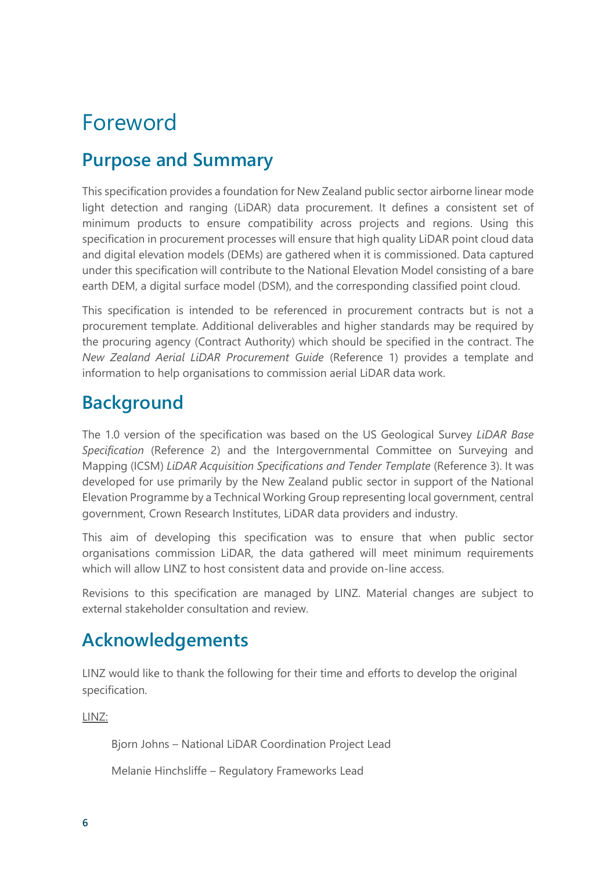# <span id="page-5-0"></span>Foreword

### <span id="page-5-1"></span>**Purpose and Summary**

This specification provides a foundation for New Zealand public sector airborne linear mode light detection and ranging (LiDAR) data procurement. It defines a consistent set of minimum products to ensure compatibility across projects and regions. Using this specification in procurement processes will ensure that high quality LiDAR point cloud data and digital elevation models (DEMs) are gathered when it is commissioned. Data captured under this specification will contribute to the National Elevation Model consisting of a bare earth DEM, a digital surface model (DSM), and the corresponding classified point cloud.

This specification is intended to be referenced in procurement contracts but is not a procurement template. Additional deliverables and higher standards may be required by the procuring agency (Contract Authority) which should be specified in the contract. The *New Zealand Aerial LiDAR Procurement Guide* (Reference 1) provides a template and information to help organisations to commission aerial LiDAR data work.

### <span id="page-5-2"></span>**Background**

The 1.0 version of the specification was based on the US Geological Survey *LiDAR Base Specification* (Reference 2) and the Intergovernmental Committee on Surveying and Mapping (ICSM) *LiDAR Acquisition Specifications and Tender Template* (Reference 3). It was developed for use primarily by the New Zealand public sector in support of the National Elevation Programme by a Technical Working Group representing local government, central government, Crown Research Institutes, LiDAR data providers and industry.

This aim of developing this specification was to ensure that when public sector organisations commission LiDAR, the data gathered will meet minimum requirements which will allow LINZ to host consistent data and provide on-line access.

Revisions to this specification are managed by LINZ. Material changes are subject to external stakeholder consultation and review.

### <span id="page-5-3"></span>**Acknowledgements**

LINZ would like to thank the following for their time and efforts to develop the original specification.

LINZ:

Bjorn Johns – National LiDAR Coordination Project Lead

Melanie Hinchsliffe – Regulatory Frameworks Lead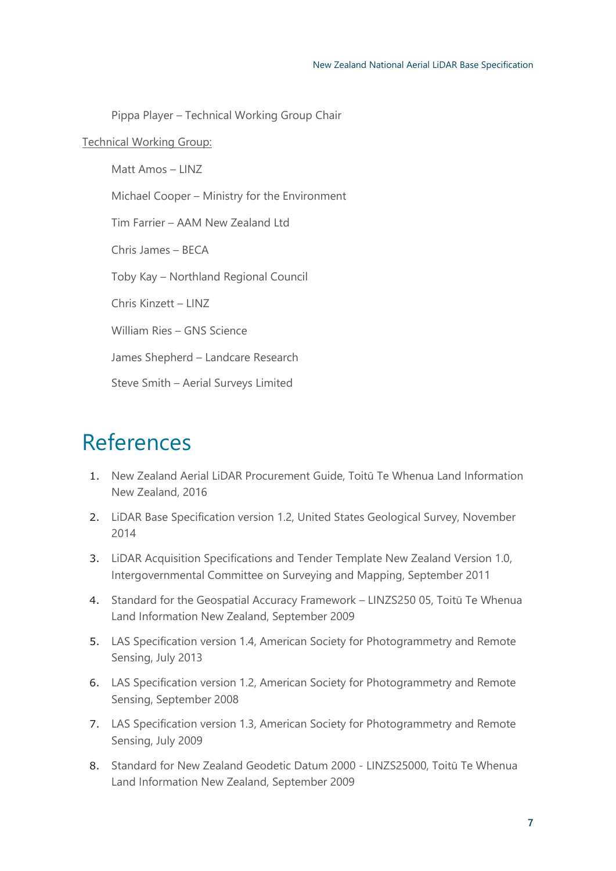Pippa Player – Technical Working Group Chair

#### Technical Working Group:

Matt Amos – LINZ Michael Cooper – Ministry for the Environment Tim Farrier – AAM New Zealand Ltd Chris James – BECA Toby Kay – Northland Regional Council Chris Kinzett – LINZ William Ries – GNS Science James Shepherd – Landcare Research Steve Smith – Aerial Surveys Limited

# <span id="page-6-0"></span>References

- 1. New Zealand Aerial LiDAR Procurement Guide, Toitū Te Whenua Land Information New Zealand, 2016
- 2. LiDAR Base Specification version 1.2, United States Geological Survey, November 2014
- 3. LiDAR Acquisition Specifications and Tender Template New Zealand Version 1.0, Intergovernmental Committee on Surveying and Mapping, September 2011
- 4. Standard for the Geospatial Accuracy Framework LINZS250 05, Toitū Te Whenua Land Information New Zealand, September 2009
- 5. LAS Specification version 1.4, American Society for Photogrammetry and Remote Sensing, July 2013
- 6. LAS Specification version 1.2, American Society for Photogrammetry and Remote Sensing, September 2008
- 7. LAS Specification version 1.3, American Society for Photogrammetry and Remote Sensing, July 2009
- 8. Standard for New Zealand Geodetic Datum 2000 LINZS25000, Toitū Te Whenua Land Information New Zealand, September 2009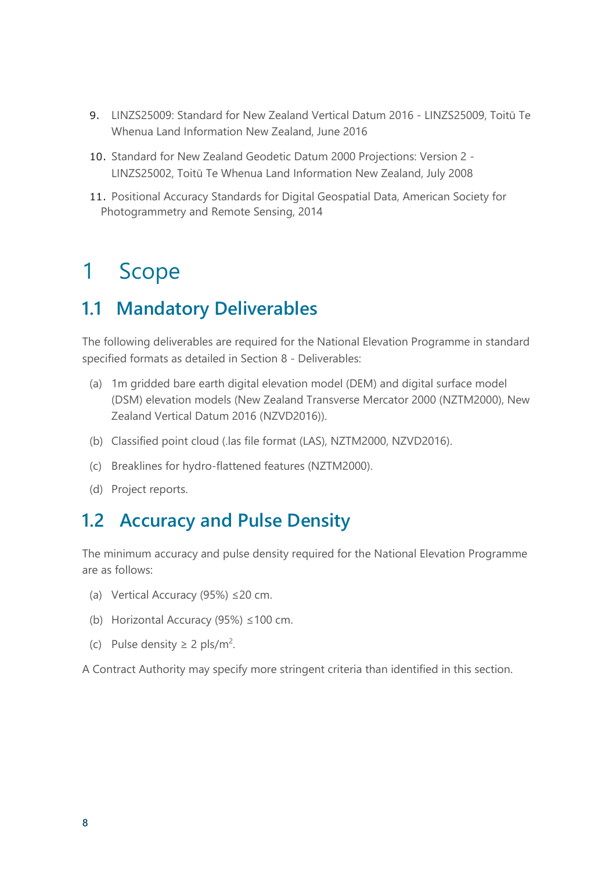- 9. LINZS25009: Standard for New Zealand Vertical Datum 2016 LINZS25009, Toitū Te Whenua Land Information New Zealand, June 2016
- 10. Standard for New Zealand Geodetic Datum 2000 Projections: Version 2 LINZS25002, Toitū Te Whenua Land Information New Zealand, July 2008
- 11. Positional Accuracy Standards for Digital Geospatial Data, American Society for Photogrammetry and Remote Sensing, 2014

## <span id="page-7-0"></span>1 Scope

### <span id="page-7-1"></span>**1.1 Mandatory Deliverables**

The following deliverables are required for the National Elevation Programme in standard specified formats as detailed in Section 8 - Deliverables:

- (a) 1m gridded bare earth digital elevation model (DEM) and digital surface model (DSM) elevation models (New Zealand Transverse Mercator 2000 (NZTM2000), New Zealand Vertical Datum 2016 (NZVD2016)).
- (b) Classified point cloud (.las file format (LAS), NZTM2000, NZVD2016).
- (c) Breaklines for hydro-flattened features (NZTM2000).
- (d) Project reports.

### <span id="page-7-2"></span>**1.2 Accuracy and Pulse Density**

The minimum accuracy and pulse density required for the National Elevation Programme are as follows:

- (a) Vertical Accuracy (95%) ≤20 cm.
- (b) Horizontal Accuracy (95%) ≤100 cm.
- (c) Pulse density  $\geq 2$  pls/m<sup>2</sup>.

A Contract Authority may specify more stringent criteria than identified in this section.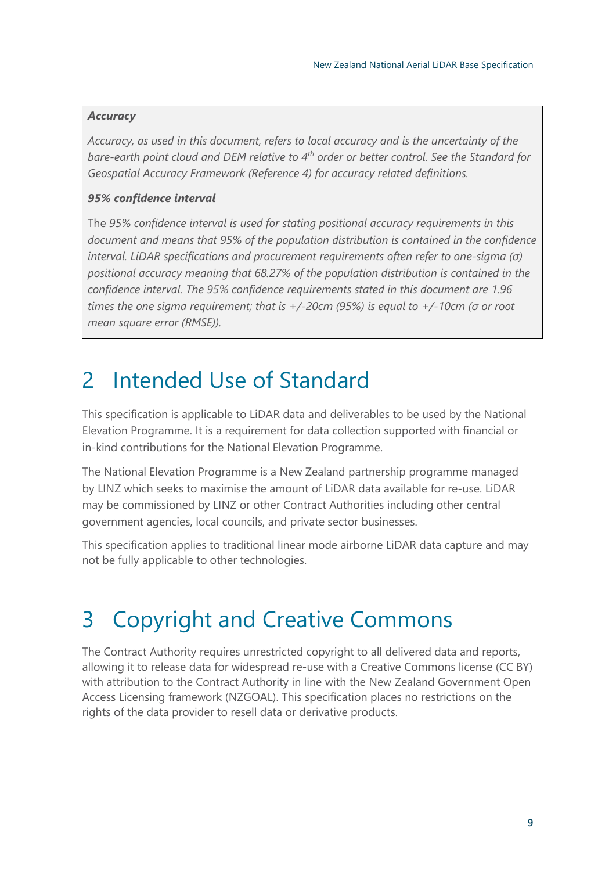#### *Accuracy*

*Accuracy, as used in this document, refers to local accuracy and is the uncertainty of the bare-earth point cloud and DEM relative to 4th order or better control. See the Standard for Geospatial Accuracy Framework (Reference 4) for accuracy related definitions.*

#### *95% confidence interval*

The *95% confidence interval is used for stating positional accuracy requirements in this document and means that 95% of the population distribution is contained in the confidence interval. LiDAR specifications and procurement requirements often refer to one-sigma (σ) positional accuracy meaning that 68.27% of the population distribution is contained in the confidence interval. The 95% confidence requirements stated in this document are 1.96 times the one sigma requirement; that is +/-20cm (95%) is equal to +/-10cm (σ or root mean square error (RMSE)).*

## <span id="page-8-0"></span>2 Intended Use of Standard

This specification is applicable to LiDAR data and deliverables to be used by the National Elevation Programme. It is a requirement for data collection supported with financial or in-kind contributions for the National Elevation Programme.

The National Elevation Programme is a New Zealand partnership programme managed by LINZ which seeks to maximise the amount of LiDAR data available for re-use. LiDAR may be commissioned by LINZ or other Contract Authorities including other central government agencies, local councils, and private sector businesses.

This specification applies to traditional linear mode airborne LiDAR data capture and may not be fully applicable to other technologies.

# <span id="page-8-1"></span>3 Copyright and Creative Commons

The Contract Authority requires unrestricted copyright to all delivered data and reports, allowing it to release data for widespread re-use with a Creative Commons license (CC BY) with attribution to the Contract Authority in line with the New Zealand Government Open Access Licensing framework (NZGOAL). This specification places no restrictions on the rights of the data provider to resell data or derivative products.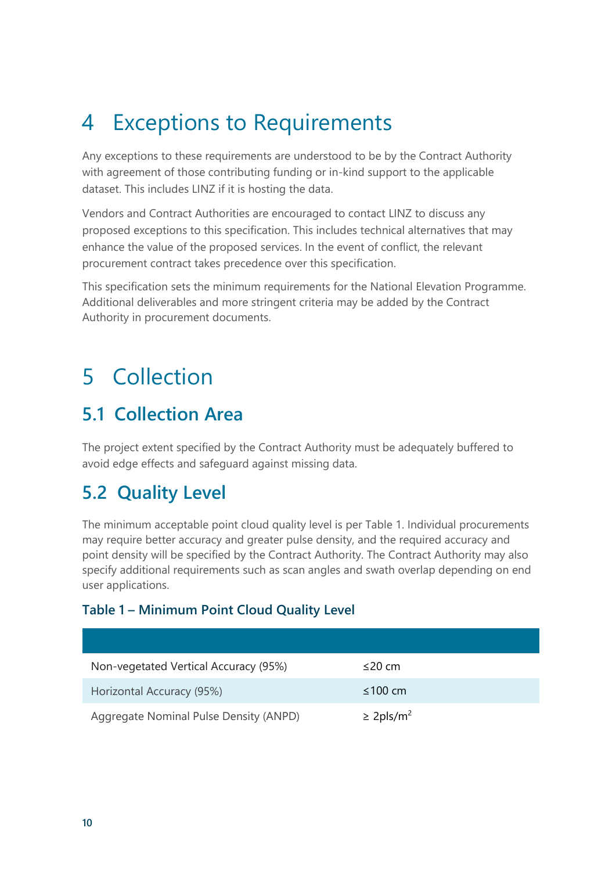# <span id="page-9-0"></span>4 Exceptions to Requirements

Any exceptions to these requirements are understood to be by the Contract Authority with agreement of those contributing funding or in-kind support to the applicable dataset. This includes LINZ if it is hosting the data.

Vendors and Contract Authorities are encouraged to contact LINZ to discuss any proposed exceptions to this specification. This includes technical alternatives that may enhance the value of the proposed services. In the event of conflict, the relevant procurement contract takes precedence over this specification.

This specification sets the minimum requirements for the National Elevation Programme. Additional deliverables and more stringent criteria may be added by the Contract Authority in procurement documents.

## <span id="page-9-1"></span>5 Collection

### <span id="page-9-2"></span>**5.1 Collection Area**

The project extent specified by the Contract Authority must be adequately buffered to avoid edge effects and safeguard against missing data.

### <span id="page-9-3"></span>**5.2 Quality Level**

The minimum acceptable point cloud quality level is per Table 1. Individual procurements may require better accuracy and greater pulse density, and the required accuracy and point density will be specified by the Contract Authority. The Contract Authority may also specify additional requirements such as scan angles and swath overlap depending on end user applications.

#### **Table 1 – Minimum Point Cloud Quality Level**

| Non-vegetated Vertical Accuracy (95%)  | $\leq$ 20 cm               |
|----------------------------------------|----------------------------|
| Horizontal Accuracy (95%)              | $\leq 100$ cm              |
| Aggregate Nominal Pulse Density (ANPD) | $\geq$ 2pls/m <sup>2</sup> |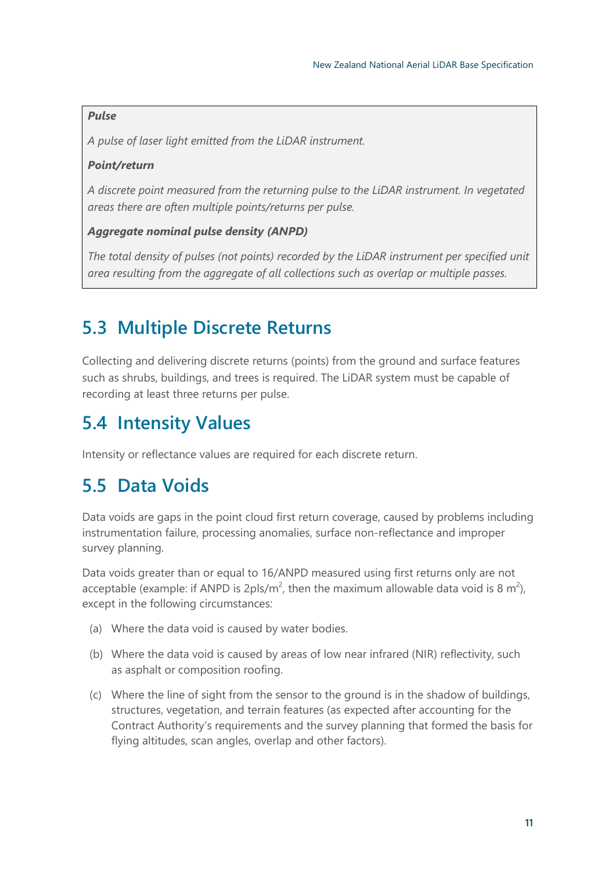#### *Pulse*

*A pulse of laser light emitted from the LiDAR instrument.* 

#### *Point/return*

*A discrete point measured from the returning pulse to the LiDAR instrument. In vegetated areas there are often multiple points/returns per pulse.*

#### *Aggregate nominal pulse density (ANPD)*

*The total density of pulses (not points) recorded by the LiDAR instrument per specified unit area resulting from the aggregate of all collections such as overlap or multiple passes.*

## <span id="page-10-0"></span>**5.3 Multiple Discrete Returns**

Collecting and delivering discrete returns (points) from the ground and surface features such as shrubs, buildings, and trees is required. The LiDAR system must be capable of recording at least three returns per pulse.

## <span id="page-10-1"></span>**5.4 Intensity Values**

Intensity or reflectance values are required for each discrete return.

### <span id="page-10-2"></span>**5.5 Data Voids**

Data voids are gaps in the point cloud first return coverage, caused by problems including instrumentation failure, processing anomalies, surface non-reflectance and improper survey planning.

Data voids greater than or equal to 16/ANPD measured using first returns only are not acceptable (example: if ANPD is 2pls/m<sup>2</sup>, then the maximum allowable data void is 8 m<sup>2</sup>), except in the following circumstances:

- (a) Where the data void is caused by water bodies.
- (b) Where the data void is caused by areas of low near infrared (NIR) reflectivity, such as asphalt or composition roofing.
- (c) Where the line of sight from the sensor to the ground is in the shadow of buildings, structures, vegetation, and terrain features (as expected after accounting for the Contract Authority's requirements and the survey planning that formed the basis for flying altitudes, scan angles, overlap and other factors).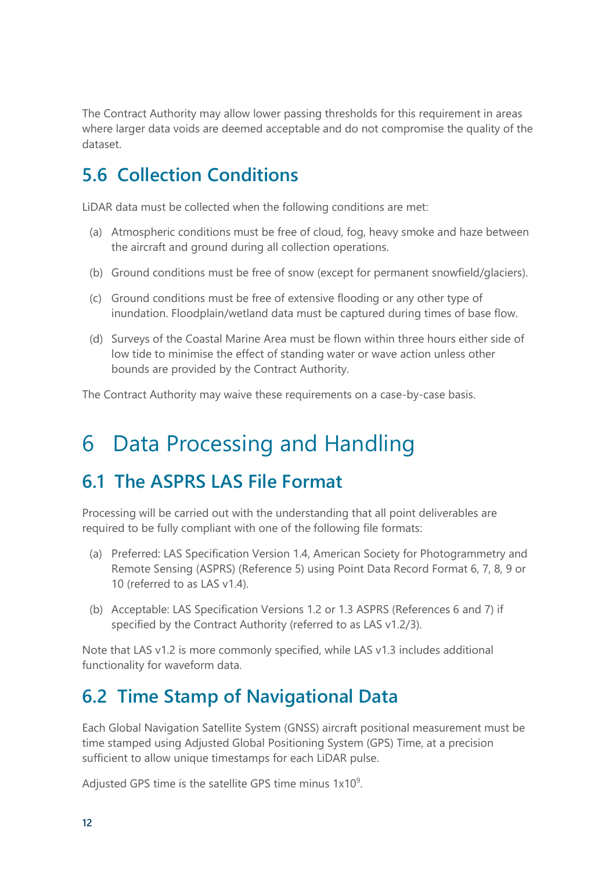The Contract Authority may allow lower passing thresholds for this requirement in areas where larger data voids are deemed acceptable and do not compromise the quality of the dataset.

## <span id="page-11-0"></span>**5.6 Collection Conditions**

LiDAR data must be collected when the following conditions are met:

- (a) Atmospheric conditions must be free of cloud, fog, heavy smoke and haze between the aircraft and ground during all collection operations.
- (b) Ground conditions must be free of snow (except for permanent snowfield/glaciers).
- (c) Ground conditions must be free of extensive flooding or any other type of inundation. Floodplain/wetland data must be captured during times of base flow.
- (d) Surveys of the Coastal Marine Area must be flown within three hours either side of low tide to minimise the effect of standing water or wave action unless other bounds are provided by the Contract Authority.

The Contract Authority may waive these requirements on a case-by-case basis.

# <span id="page-11-1"></span>6 Data Processing and Handling

### <span id="page-11-2"></span>**6.1 The ASPRS LAS File Format**

Processing will be carried out with the understanding that all point deliverables are required to be fully compliant with one of the following file formats:

- (a) Preferred: LAS Specification Version 1.4, American Society for Photogrammetry and Remote Sensing (ASPRS) (Reference 5) using Point Data Record Format 6, 7, 8, 9 or 10 (referred to as LAS v1.4).
- (b) Acceptable: LAS Specification Versions 1.2 or 1.3 ASPRS (References 6 and 7) if specified by the Contract Authority (referred to as LAS v1.2/3).

Note that LAS v1.2 is more commonly specified, while LAS v1.3 includes additional functionality for waveform data.

### <span id="page-11-3"></span>**6.2 Time Stamp of Navigational Data**

Each Global Navigation Satellite System (GNSS) aircraft positional measurement must be time stamped using Adjusted Global Positioning System (GPS) Time, at a precision sufficient to allow unique timestamps for each LiDAR pulse.

Adjusted GPS time is the satellite GPS time minus  $1x10<sup>9</sup>$ .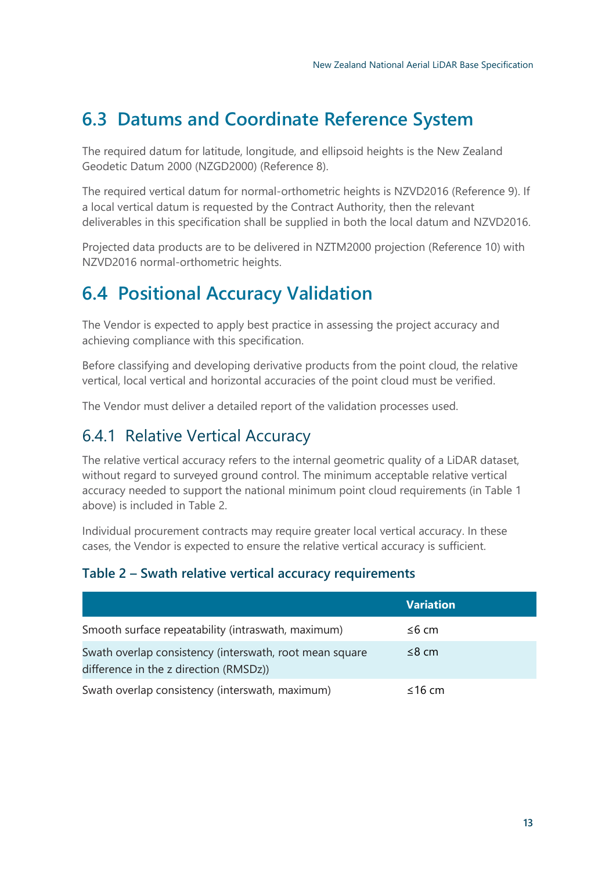## <span id="page-12-0"></span>**6.3 Datums and Coordinate Reference System**

The required datum for latitude, longitude, and ellipsoid heights is the New Zealand Geodetic Datum 2000 (NZGD2000) (Reference 8).

The required vertical datum for normal-orthometric heights is NZVD2016 (Reference 9). If a local vertical datum is requested by the Contract Authority, then the relevant deliverables in this specification shall be supplied in both the local datum and NZVD2016.

Projected data products are to be delivered in NZTM2000 projection (Reference 10) with NZVD2016 normal-orthometric heights.

## <span id="page-12-1"></span>**6.4 Positional Accuracy Validation**

The Vendor is expected to apply best practice in assessing the project accuracy and achieving compliance with this specification.

Before classifying and developing derivative products from the point cloud, the relative vertical, local vertical and horizontal accuracies of the point cloud must be verified.

The Vendor must deliver a detailed report of the validation processes used.

### <span id="page-12-2"></span>6.4.1 Relative Vertical Accuracy

The relative vertical accuracy refers to the internal geometric quality of a LiDAR dataset, without regard to surveyed ground control. The minimum acceptable relative vertical accuracy needed to support the national minimum point cloud requirements (in Table 1 above) is included in Table 2.

Individual procurement contracts may require greater local vertical accuracy. In these cases, the Vendor is expected to ensure the relative vertical accuracy is sufficient.

#### **Table 2 – Swath relative vertical accuracy requirements**

|                                                                                                   | <b>Variation</b> |
|---------------------------------------------------------------------------------------------------|------------------|
| Smooth surface repeatability (intraswath, maximum)                                                | ≤6 cm            |
| Swath overlap consistency (interswath, root mean square<br>difference in the z direction (RMSDz)) | $\leq$ 8 cm      |
| Swath overlap consistency (interswath, maximum)                                                   | $\leq$ 16 cm     |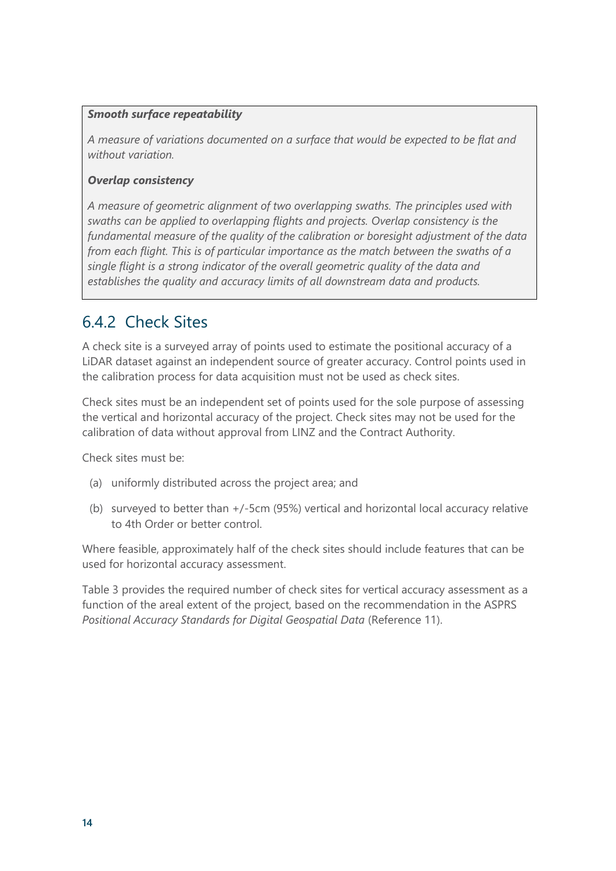#### *Smooth surface repeatability*

*A measure of variations documented on a surface that would be expected to be flat and without variation.* 

#### *Overlap consistency*

*A measure of geometric alignment of two overlapping swaths. The principles used with swaths can be applied to overlapping flights and projects. Overlap consistency is the fundamental measure of the quality of the calibration or boresight adjustment of the data from each flight. This is of particular importance as the match between the swaths of a single flight is a strong indicator of the overall geometric quality of the data and establishes the quality and accuracy limits of all downstream data and products.*

### <span id="page-13-0"></span>6.4.2 Check Sites

A check site is a surveyed array of points used to estimate the positional accuracy of a LiDAR dataset against an independent source of greater accuracy. Control points used in the calibration process for data acquisition must not be used as check sites.

Check sites must be an independent set of points used for the sole purpose of assessing the vertical and horizontal accuracy of the project. Check sites may not be used for the calibration of data without approval from LINZ and the Contract Authority.

Check sites must be:

- (a) uniformly distributed across the project area; and
- (b) surveyed to better than +/-5cm (95%) vertical and horizontal local accuracy relative to 4th Order or better control.

Where feasible, approximately half of the check sites should include features that can be used for horizontal accuracy assessment.

Table 3 provides the required number of check sites for vertical accuracy assessment as a function of the areal extent of the project, based on the recommendation in the ASPRS *Positional Accuracy Standards for Digital Geospatial Data* (Reference 11).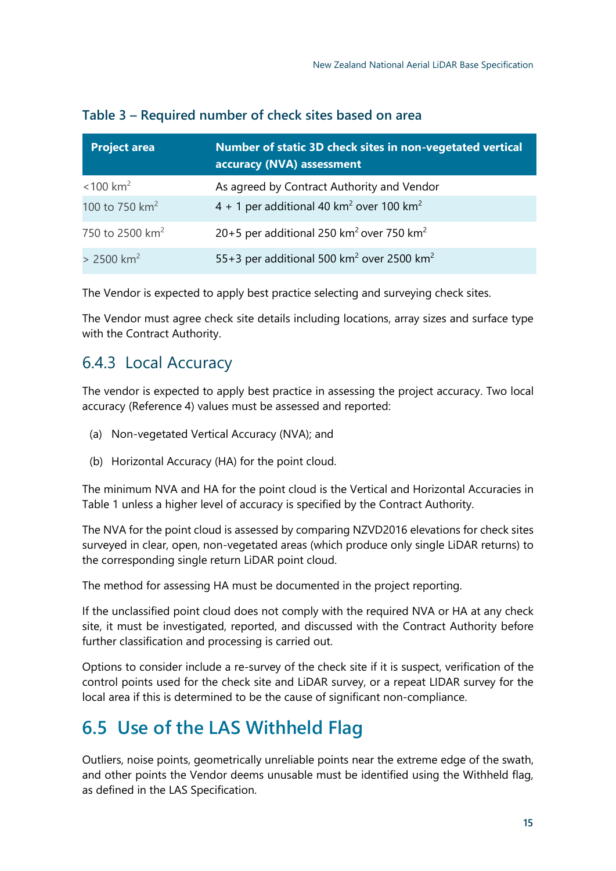| <b>Project area</b>         | Number of static 3D check sites in non-vegetated vertical<br>accuracy (NVA) assessment |
|-----------------------------|----------------------------------------------------------------------------------------|
| $< 100$ km <sup>2</sup>     | As agreed by Contract Authority and Vendor                                             |
| 100 to 750 km <sup>2</sup>  | 4 + 1 per additional 40 km <sup>2</sup> over 100 km <sup>2</sup>                       |
| 750 to 2500 km <sup>2</sup> | 20+5 per additional 250 km <sup>2</sup> over 750 km <sup>2</sup>                       |
| $> 2500$ km <sup>2</sup>    | 55+3 per additional 500 km <sup>2</sup> over 2500 km <sup>2</sup>                      |

#### **Table 3 – Required number of check sites based on area**

The Vendor is expected to apply best practice selecting and surveying check sites.

The Vendor must agree check site details including locations, array sizes and surface type with the Contract Authority.

### <span id="page-14-0"></span>6.4.3 Local Accuracy

The vendor is expected to apply best practice in assessing the project accuracy. Two local accuracy (Reference 4) values must be assessed and reported:

- (a) Non-vegetated Vertical Accuracy (NVA); and
- (b) Horizontal Accuracy (HA) for the point cloud.

The minimum NVA and HA for the point cloud is the Vertical and Horizontal Accuracies in Table 1 unless a higher level of accuracy is specified by the Contract Authority.

The NVA for the point cloud is assessed by comparing NZVD2016 elevations for check sites surveyed in clear, open, non-vegetated areas (which produce only single LiDAR returns) to the corresponding single return LiDAR point cloud.

The method for assessing HA must be documented in the project reporting.

If the unclassified point cloud does not comply with the required NVA or HA at any check site, it must be investigated, reported, and discussed with the Contract Authority before further classification and processing is carried out.

Options to consider include a re-survey of the check site if it is suspect, verification of the control points used for the check site and LiDAR survey, or a repeat LIDAR survey for the local area if this is determined to be the cause of significant non-compliance.

### <span id="page-14-1"></span>**6.5 Use of the LAS Withheld Flag**

Outliers, noise points, geometrically unreliable points near the extreme edge of the swath, and other points the Vendor deems unusable must be identified using the Withheld flag, as defined in the LAS Specification.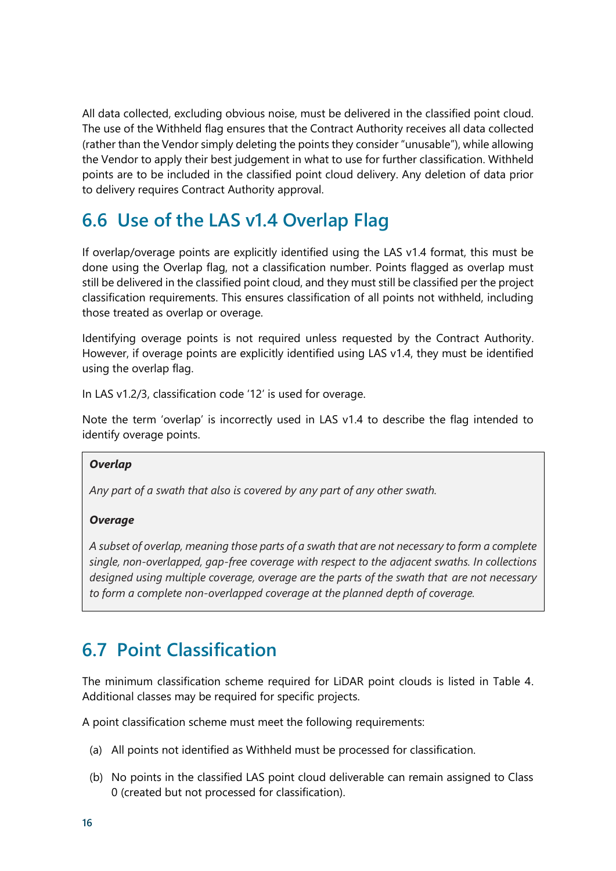All data collected, excluding obvious noise, must be delivered in the classified point cloud. The use of the Withheld flag ensures that the Contract Authority receives all data collected (rather than the Vendor simply deleting the points they consider "unusable"), while allowing the Vendor to apply their best judgement in what to use for further classification. Withheld points are to be included in the classified point cloud delivery. Any deletion of data prior to delivery requires Contract Authority approval.

## <span id="page-15-0"></span>**6.6 Use of the LAS v1.4 Overlap Flag**

If overlap/overage points are explicitly identified using the LAS v1.4 format, this must be done using the Overlap flag, not a classification number. Points flagged as overlap must still be delivered in the classified point cloud, and they must still be classified per the project classification requirements. This ensures classification of all points not withheld, including those treated as overlap or overage.

Identifying overage points is not required unless requested by the Contract Authority. However, if overage points are explicitly identified using LAS v1.4, they must be identified using the overlap flag.

In LAS v1.2/3, classification code '12' is used for overage.

Note the term 'overlap' is incorrectly used in LAS v1.4 to describe the flag intended to identify overage points.

#### *Overlap*

*Any part of a swath that also is covered by any part of any other swath.*

#### *Overage*

*A subset of overlap, meaning those parts of a swath that are not necessary to form a complete single, non-overlapped, gap-free coverage with respect to the adjacent swaths. In collections designed using multiple coverage, overage are the parts of the swath that are not necessary to form a complete non-overlapped coverage at the planned depth of coverage.*

### <span id="page-15-1"></span>**6.7 Point Classification**

The minimum classification scheme required for LiDAR point clouds is listed in Table 4. Additional classes may be required for specific projects.

A point classification scheme must meet the following requirements:

- (a) All points not identified as Withheld must be processed for classification.
- (b) No points in the classified LAS point cloud deliverable can remain assigned to Class 0 (created but not processed for classification).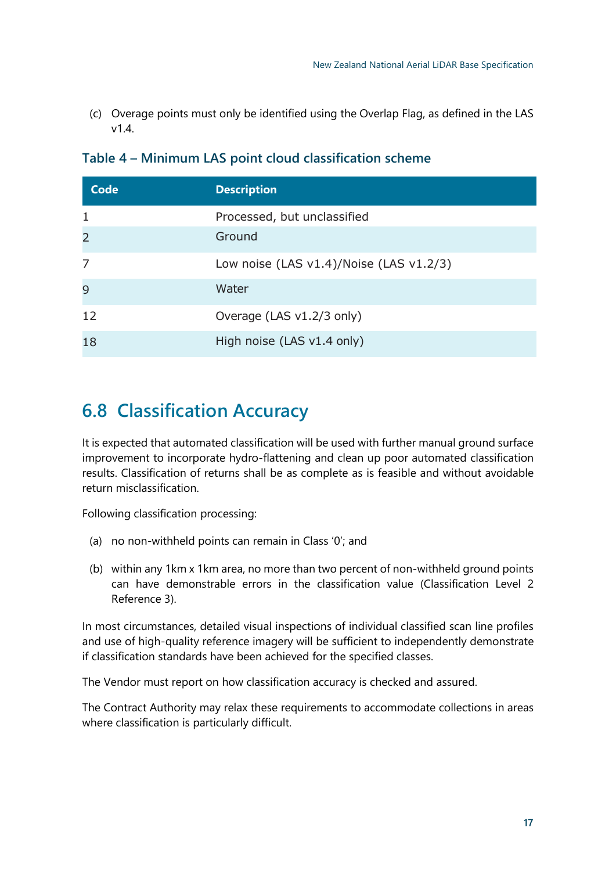(c) Overage points must only be identified using the Overlap Flag, as defined in the LAS  $v1.4$ 

| <b>Code</b>    | <b>Description</b>                            |
|----------------|-----------------------------------------------|
| 1              | Processed, but unclassified                   |
| $\overline{2}$ | Ground                                        |
| 7              | Low noise (LAS $v1.4$ )/Noise (LAS $v1.2/3$ ) |
| 9              | Water                                         |
| 12             | Overage (LAS v1.2/3 only)                     |
| 18             | High noise (LAS v1.4 only)                    |

#### **Table 4 – Minimum LAS point cloud classification scheme**

### <span id="page-16-0"></span>**6.8 Classification Accuracy**

It is expected that automated classification will be used with further manual ground surface improvement to incorporate hydro-flattening and clean up poor automated classification results. Classification of returns shall be as complete as is feasible and without avoidable return misclassification.

Following classification processing:

- (a) no non-withheld points can remain in Class '0'; and
- (b) within any 1km x 1km area, no more than two percent of non-withheld ground points can have demonstrable errors in the classification value (Classification Level 2 Reference 3).

In most circumstances, detailed visual inspections of individual classified scan line profiles and use of high-quality reference imagery will be sufficient to independently demonstrate if classification standards have been achieved for the specified classes.

The Vendor must report on how classification accuracy is checked and assured.

The Contract Authority may relax these requirements to accommodate collections in areas where classification is particularly difficult.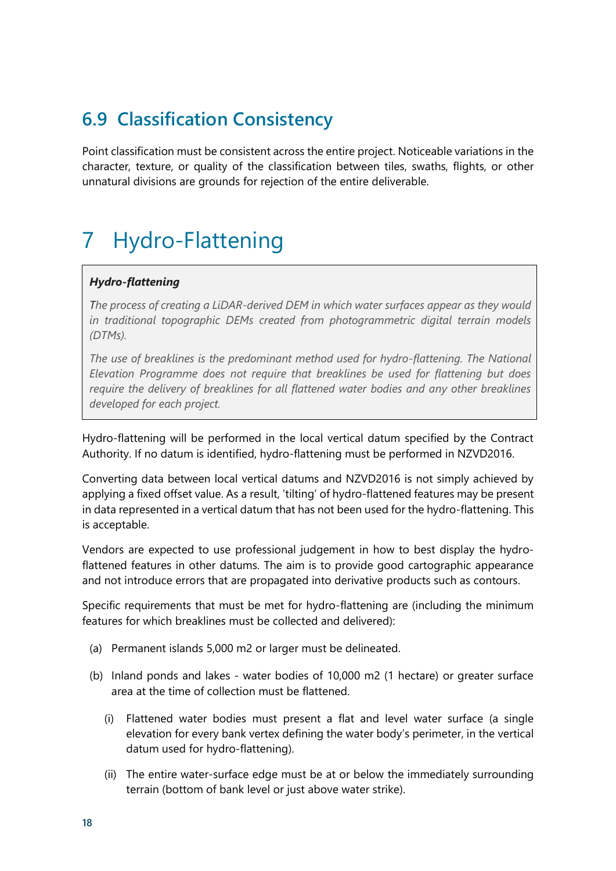## <span id="page-17-0"></span>**6.9 Classification Consistency**

Point classification must be consistent across the entire project. Noticeable variations in the character, texture, or quality of the classification between tiles, swaths, flights, or other unnatural divisions are grounds for rejection of the entire deliverable.

# <span id="page-17-1"></span>7 Hydro-Flattening

#### *Hydro-flattening*

*The process of creating a LiDAR-derived DEM in which water surfaces appear as they would in traditional topographic DEMs created from photogrammetric digital terrain models (DTMs).* 

*The use of breaklines is the predominant method used for hydro-flattening. The National Elevation Programme does not require that breaklines be used for flattening but does require the delivery of breaklines for all flattened water bodies and any other breaklines developed for each project.*

Hydro-flattening will be performed in the local vertical datum specified by the Contract Authority. If no datum is identified, hydro-flattening must be performed in NZVD2016.

Converting data between local vertical datums and NZVD2016 is not simply achieved by applying a fixed offset value. As a result, 'tilting' of hydro-flattened features may be present in data represented in a vertical datum that has not been used for the hydro-flattening. This is acceptable.

Vendors are expected to use professional judgement in how to best display the hydroflattened features in other datums. The aim is to provide good cartographic appearance and not introduce errors that are propagated into derivative products such as contours.

Specific requirements that must be met for hydro-flattening are (including the minimum features for which breaklines must be collected and delivered):

- (a) Permanent islands 5,000 m2 or larger must be delineated.
- (b) Inland ponds and lakes water bodies of 10,000 m2 (1 hectare) or greater surface area at the time of collection must be flattened.
	- (i) Flattened water bodies must present a flat and level water surface (a single elevation for every bank vertex defining the water body's perimeter, in the vertical datum used for hydro-flattening).
	- (ii) The entire water-surface edge must be at or below the immediately surrounding terrain (bottom of bank level or just above water strike).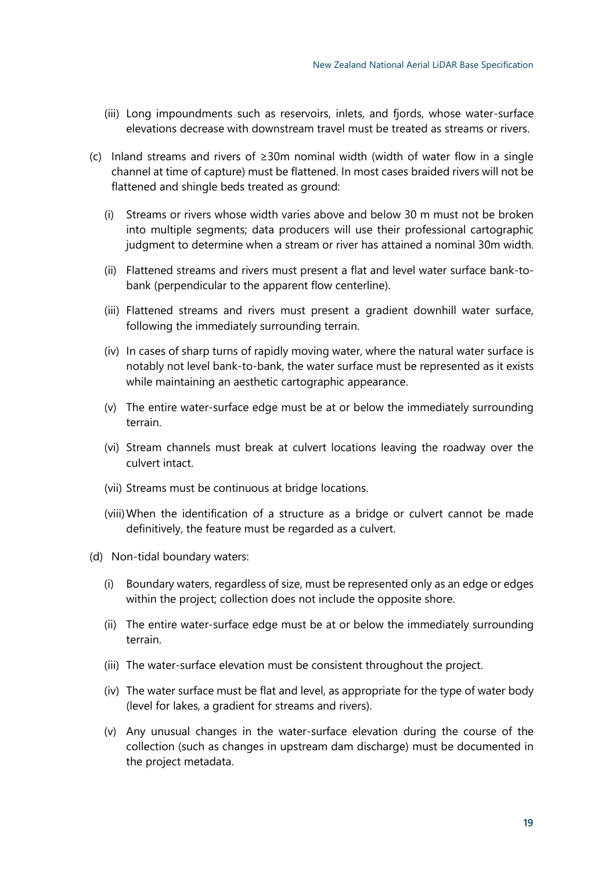- (iii) Long impoundments such as reservoirs, inlets, and fjords, whose water-surface elevations decrease with downstream travel must be treated as streams or rivers.
- (c) Inland streams and rivers of ≥30m nominal width (width of water flow in a single channel at time of capture) must be flattened. In most cases braided rivers will not be flattened and shingle beds treated as ground:
	- (i) Streams or rivers whose width varies above and below 30 m must not be broken into multiple segments; data producers will use their professional cartographic judgment to determine when a stream or river has attained a nominal 30m width.
	- (ii) Flattened streams and rivers must present a flat and level water surface bank-tobank (perpendicular to the apparent flow centerline).
	- (iii) Flattened streams and rivers must present a gradient downhill water surface, following the immediately surrounding terrain.
	- (iv) In cases of sharp turns of rapidly moving water, where the natural water surface is notably not level bank-to-bank, the water surface must be represented as it exists while maintaining an aesthetic cartographic appearance.
	- (v) The entire water-surface edge must be at or below the immediately surrounding terrain.
	- (vi) Stream channels must break at culvert locations leaving the roadway over the culvert intact.
	- (vii) Streams must be continuous at bridge locations.
	- (viii)When the identification of a structure as a bridge or culvert cannot be made definitively, the feature must be regarded as a culvert.
- (d) Non-tidal boundary waters:
	- (i) Boundary waters, regardless of size, must be represented only as an edge or edges within the project; collection does not include the opposite shore.
	- (ii) The entire water-surface edge must be at or below the immediately surrounding terrain.
	- (iii) The water-surface elevation must be consistent throughout the project.
	- (iv) The water surface must be flat and level, as appropriate for the type of water body (level for lakes, a gradient for streams and rivers).
	- (v) Any unusual changes in the water-surface elevation during the course of the collection (such as changes in upstream dam discharge) must be documented in the project metadata.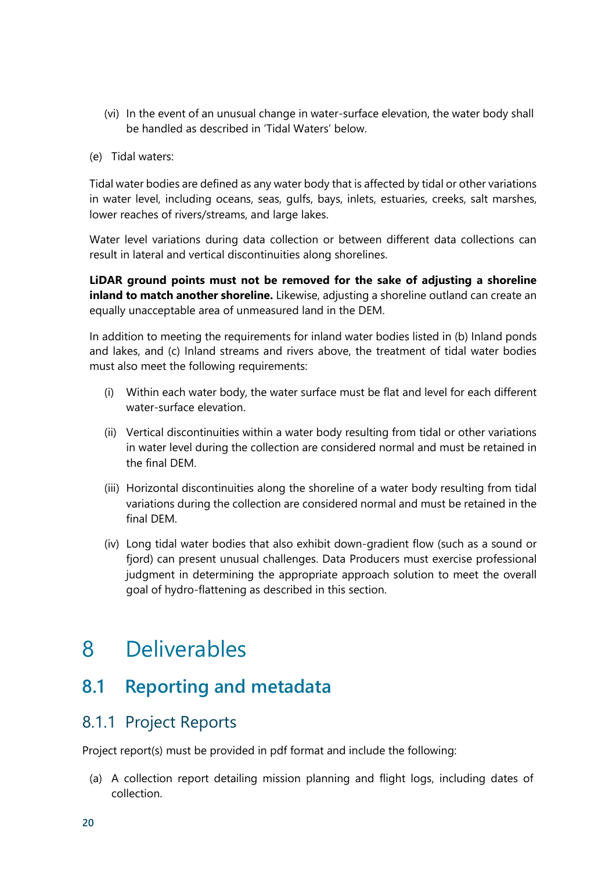- (vi) In the event of an unusual change in water-surface elevation, the water body shall be handled as described in 'Tidal Waters' below.
- (e) Tidal waters:

Tidal water bodies are defined as any water body that is affected by tidal or other variations in water level, including oceans, seas, gulfs, bays, inlets, estuaries, creeks, salt marshes, lower reaches of rivers/streams, and large lakes.

Water level variations during data collection or between different data collections can result in lateral and vertical discontinuities along shorelines.

**LiDAR ground points must not be removed for the sake of adjusting a shoreline inland to match another shoreline.** Likewise, adjusting a shoreline outland can create an equally unacceptable area of unmeasured land in the DEM.

In addition to meeting the requirements for inland water bodies listed in (b) Inland ponds and lakes, and (c) Inland streams and rivers above, the treatment of tidal water bodies must also meet the following requirements:

- (i) Within each water body, the water surface must be flat and level for each different water-surface elevation.
- (ii) Vertical discontinuities within a water body resulting from tidal or other variations in water level during the collection are considered normal and must be retained in the final DEM.
- (iii) Horizontal discontinuities along the shoreline of a water body resulting from tidal variations during the collection are considered normal and must be retained in the final DEM.
- (iv) Long tidal water bodies that also exhibit down-gradient flow (such as a sound or fjord) can present unusual challenges. Data Producers must exercise professional judgment in determining the appropriate approach solution to meet the overall goal of hydro-flattening as described in this section.

## <span id="page-19-0"></span>8 Deliverables

### <span id="page-19-1"></span>**8.1 Reporting and metadata**

### <span id="page-19-2"></span>8.1.1 Project Reports

Project report(s) must be provided in pdf format and include the following:

(a) A collection report detailing mission planning and flight logs, including dates of collection.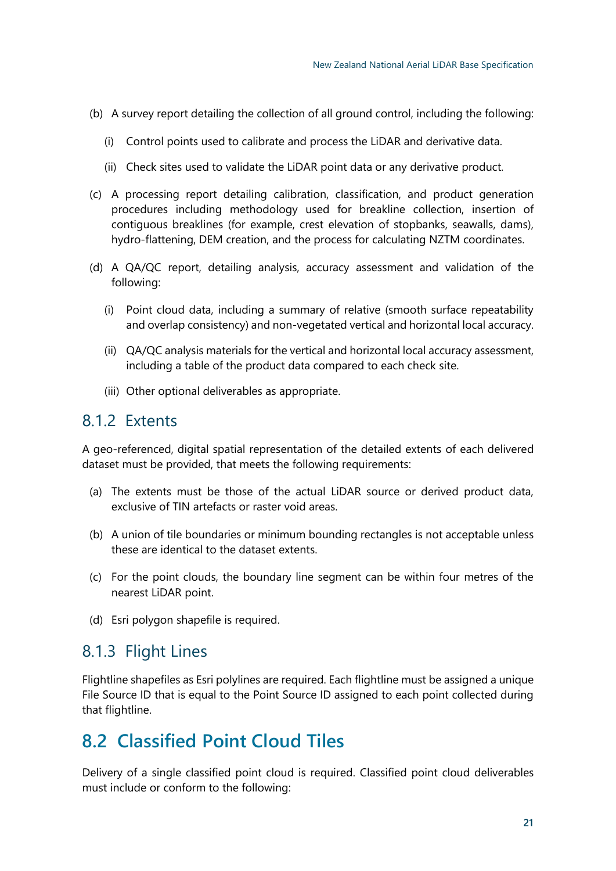- (b) A survey report detailing the collection of all ground control, including the following:
	- (i) Control points used to calibrate and process the LiDAR and derivative data.
	- (ii) Check sites used to validate the LiDAR point data or any derivative product.
- (c) A processing report detailing calibration, classification, and product generation procedures including methodology used for breakline collection, insertion of contiguous breaklines (for example, crest elevation of stopbanks, seawalls, dams), hydro-flattening, DEM creation, and the process for calculating NZTM coordinates.
- (d) A QA/QC report, detailing analysis, accuracy assessment and validation of the following:
	- (i) Point cloud data, including a summary of relative (smooth surface repeatability and overlap consistency) and non-vegetated vertical and horizontal local accuracy.
	- (ii) QA/QC analysis materials for the vertical and horizontal local accuracy assessment, including a table of the product data compared to each check site.
	- (iii) Other optional deliverables as appropriate.

### <span id="page-20-0"></span>8.1.2 Extents

A geo-referenced, digital spatial representation of the detailed extents of each delivered dataset must be provided, that meets the following requirements:

- (a) The extents must be those of the actual LiDAR source or derived product data, exclusive of TIN artefacts or raster void areas.
- (b) A union of tile boundaries or minimum bounding rectangles is not acceptable unless these are identical to the dataset extents.
- (c) For the point clouds, the boundary line segment can be within four metres of the nearest LiDAR point.
- (d) Esri polygon shapefile is required.

### <span id="page-20-1"></span>8.1.3 Flight Lines

Flightline shapefiles as Esri polylines are required. Each flightline must be assigned a unique File Source ID that is equal to the Point Source ID assigned to each point collected during that flightline.

### <span id="page-20-2"></span>**8.2 Classified Point Cloud Tiles**

Delivery of a single classified point cloud is required. Classified point cloud deliverables must include or conform to the following: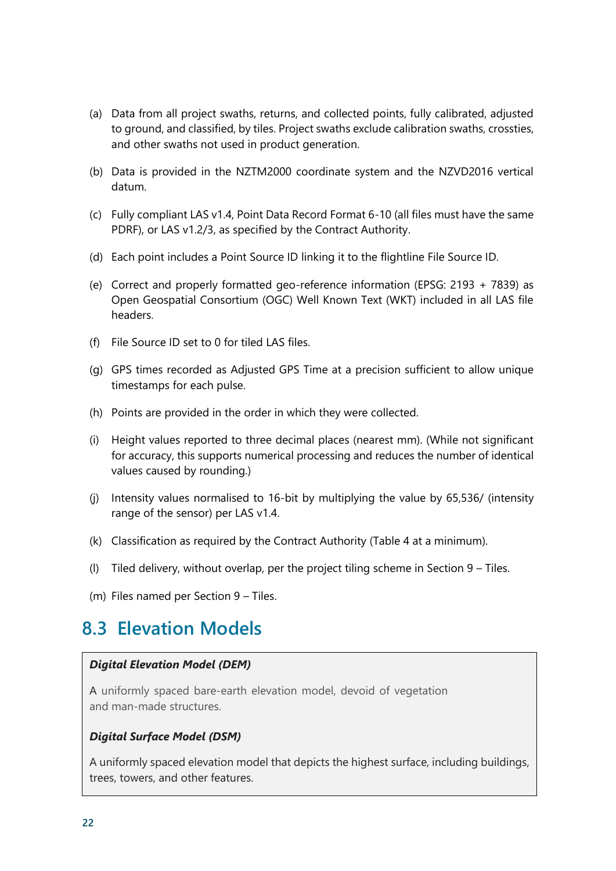- (a) Data from all project swaths, returns, and collected points, fully calibrated, adjusted to ground, and classified, by tiles. Project swaths exclude calibration swaths, crossties, and other swaths not used in product generation.
- (b) Data is provided in the NZTM2000 coordinate system and the NZVD2016 vertical datum.
- (c) Fully compliant LAS v1.4, Point Data Record Format 6-10 (all files must have the same PDRF), or LAS v1.2/3, as specified by the Contract Authority.
- (d) Each point includes a Point Source ID linking it to the flightline File Source ID.
- (e) Correct and properly formatted geo-reference information (EPSG: 2193 + 7839) as Open Geospatial Consortium (OGC) Well Known Text (WKT) included in all LAS file headers.
- (f) File Source ID set to 0 for tiled LAS files.
- (g) GPS times recorded as Adjusted GPS Time at a precision sufficient to allow unique timestamps for each pulse.
- (h) Points are provided in the order in which they were collected.
- (i) Height values reported to three decimal places (nearest mm). (While not significant for accuracy, this supports numerical processing and reduces the number of identical values caused by rounding.)
- (j) Intensity values normalised to 16-bit by multiplying the value by 65,536/ (intensity range of the sensor) per LAS v1.4.
- (k) Classification as required by the Contract Authority (Table 4 at a minimum).
- (l) Tiled delivery, without overlap, per the project tiling scheme in Section 9 Tiles.
- (m) Files named per Section 9 Tiles.

### <span id="page-21-0"></span>**8.3 Elevation Models**

#### *Digital Elevation Model (DEM)*

A uniformly spaced bare-earth elevation model, devoid of vegetation and man-made structures.

#### *Digital Surface Model (DSM)*

A uniformly spaced elevation model that depicts the highest surface, including buildings, trees, towers, and other features.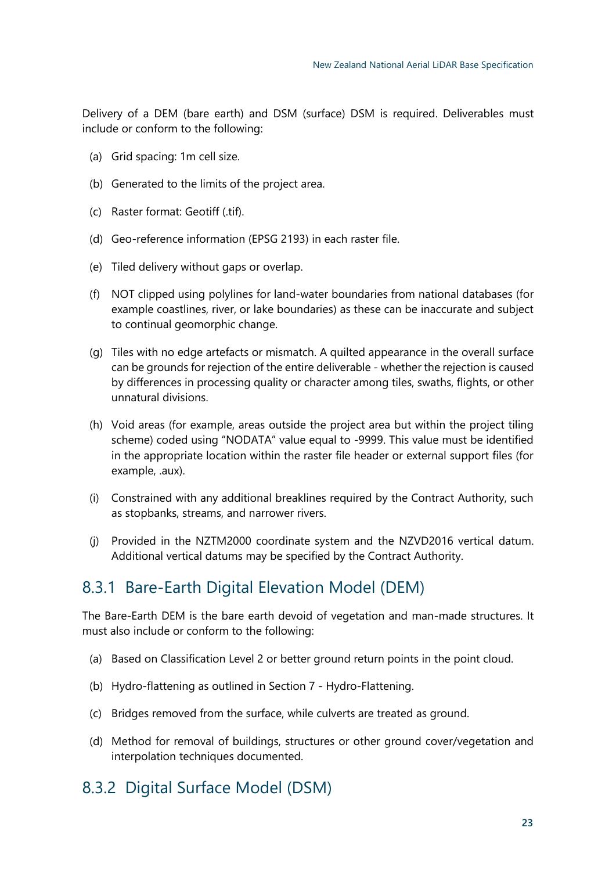Delivery of a DEM (bare earth) and DSM (surface) DSM is required. Deliverables must include or conform to the following:

- (a) Grid spacing: 1m cell size.
- (b) Generated to the limits of the project area.
- (c) Raster format: Geotiff (.tif).
- (d) Geo-reference information (EPSG 2193) in each raster file.
- (e) Tiled delivery without gaps or overlap.
- (f) NOT clipped using polylines for land-water boundaries from national databases (for example coastlines, river, or lake boundaries) as these can be inaccurate and subject to continual geomorphic change.
- (g) Tiles with no edge artefacts or mismatch. A quilted appearance in the overall surface can be grounds for rejection of the entire deliverable - whether the rejection is caused by differences in processing quality or character among tiles, swaths, flights, or other unnatural divisions.
- (h) Void areas (for example, areas outside the project area but within the project tiling scheme) coded using "NODATA" value equal to -9999. This value must be identified in the appropriate location within the raster file header or external support files (for example, .aux).
- (i) Constrained with any additional breaklines required by the Contract Authority, such as stopbanks, streams, and narrower rivers.
- (j) Provided in the NZTM2000 coordinate system and the NZVD2016 vertical datum. Additional vertical datums may be specified by the Contract Authority.

### <span id="page-22-0"></span>8.3.1 Bare-Earth Digital Elevation Model (DEM)

The Bare-Earth DEM is the bare earth devoid of vegetation and man-made structures. It must also include or conform to the following:

- (a) Based on Classification Level 2 or better ground return points in the point cloud.
- (b) Hydro-flattening as outlined in Section 7 Hydro-Flattening.
- (c) Bridges removed from the surface, while culverts are treated as ground.
- (d) Method for removal of buildings, structures or other ground cover/vegetation and interpolation techniques documented.

### <span id="page-22-1"></span>8.3.2 Digital Surface Model (DSM)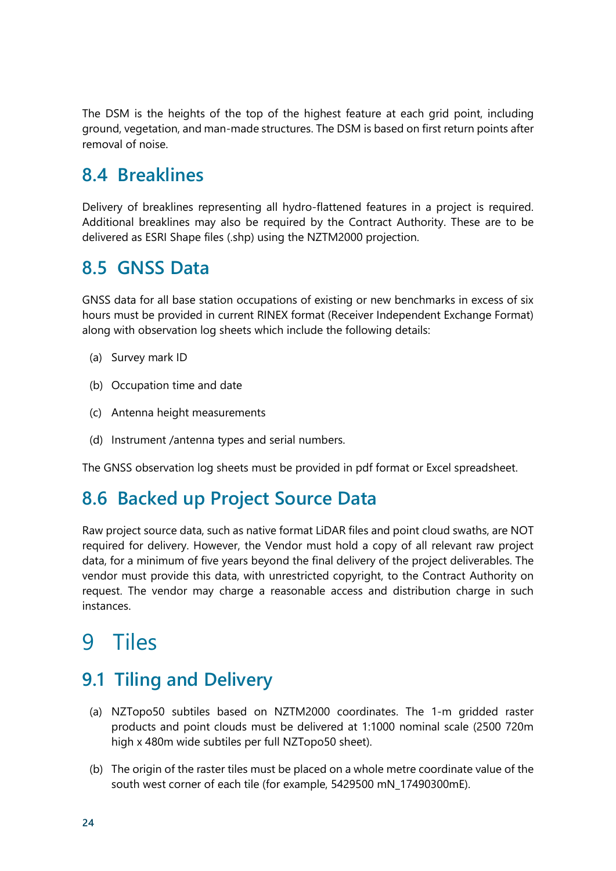The DSM is the heights of the top of the highest feature at each grid point, including ground, vegetation, and man-made structures. The DSM is based on first return points after removal of noise.

### <span id="page-23-0"></span>**8.4 Breaklines**

Delivery of breaklines representing all hydro-flattened features in a project is required. Additional breaklines may also be required by the Contract Authority. These are to be delivered as ESRI Shape files (.shp) using the NZTM2000 projection.

### <span id="page-23-1"></span>**8.5 GNSS Data**

GNSS data for all base station occupations of existing or new benchmarks in excess of six hours must be provided in current RINEX format (Receiver Independent Exchange Format) along with observation log sheets which include the following details:

- (a) Survey mark ID
- (b) Occupation time and date
- (c) Antenna height measurements
- (d) Instrument /antenna types and serial numbers.

The GNSS observation log sheets must be provided in pdf format or Excel spreadsheet.

### <span id="page-23-2"></span>**8.6 Backed up Project Source Data**

Raw project source data, such as native format LiDAR files and point cloud swaths, are NOT required for delivery. However, the Vendor must hold a copy of all relevant raw project data, for a minimum of five years beyond the final delivery of the project deliverables. The vendor must provide this data, with unrestricted copyright, to the Contract Authority on request. The vendor may charge a reasonable access and distribution charge in such instances.

# <span id="page-23-3"></span>9 Tiles

### <span id="page-23-4"></span>**9.1 Tiling and Delivery**

- (a) NZTopo50 subtiles based on NZTM2000 coordinates. The 1-m gridded raster products and point clouds must be delivered at 1:1000 nominal scale (2500 720m high x 480m wide subtiles per full NZTopo50 sheet).
- (b) The origin of the raster tiles must be placed on a whole metre coordinate value of the south west corner of each tile (for example, 5429500 mN\_17490300mE).